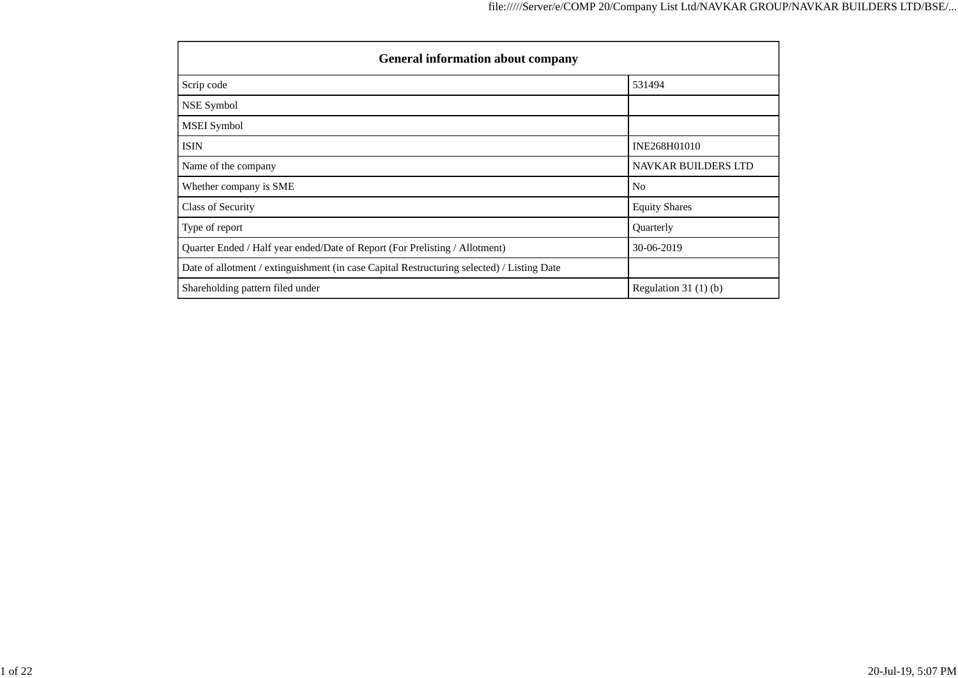| <b>General information about company</b>                                                   |                            |  |  |  |  |  |  |
|--------------------------------------------------------------------------------------------|----------------------------|--|--|--|--|--|--|
| Scrip code                                                                                 | 531494                     |  |  |  |  |  |  |
| NSE Symbol                                                                                 |                            |  |  |  |  |  |  |
| <b>MSEI</b> Symbol                                                                         |                            |  |  |  |  |  |  |
| <b>ISIN</b>                                                                                | INE268H01010               |  |  |  |  |  |  |
| Name of the company                                                                        | <b>NAVKAR BUILDERS LTD</b> |  |  |  |  |  |  |
| Whether company is SME                                                                     | N <sub>o</sub>             |  |  |  |  |  |  |
| Class of Security                                                                          | <b>Equity Shares</b>       |  |  |  |  |  |  |
| Type of report                                                                             | Quarterly                  |  |  |  |  |  |  |
| Quarter Ended / Half year ended/Date of Report (For Prelisting / Allotment)                | 30-06-2019                 |  |  |  |  |  |  |
| Date of allotment / extinguishment (in case Capital Restructuring selected) / Listing Date |                            |  |  |  |  |  |  |
| Shareholding pattern filed under                                                           | Regulation 31 $(1)(b)$     |  |  |  |  |  |  |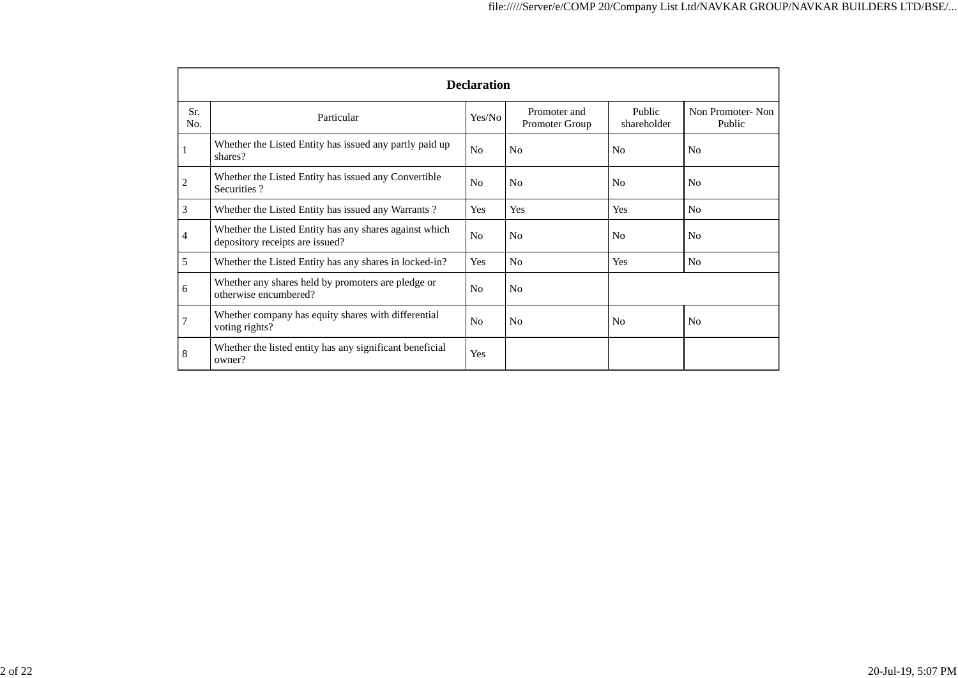|                | <b>Declaration</b>                                                                        |                |                                       |                       |                            |  |  |  |  |
|----------------|-------------------------------------------------------------------------------------------|----------------|---------------------------------------|-----------------------|----------------------------|--|--|--|--|
| Sr.<br>No.     | Particular                                                                                | Yes/No         | Promoter and<br><b>Promoter Group</b> | Public<br>shareholder | Non Promoter-Non<br>Public |  |  |  |  |
| 1              | Whether the Listed Entity has issued any partly paid up<br>shares?                        | No             | N <sub>o</sub>                        | N <sub>o</sub>        | N <sub>0</sub>             |  |  |  |  |
| $\mathbf{2}$   | Whether the Listed Entity has issued any Convertible<br>Securities?                       | N <sub>o</sub> | N <sub>o</sub>                        | No                    | N <sub>0</sub>             |  |  |  |  |
| 3              | Whether the Listed Entity has issued any Warrants?                                        | Yes            | Yes                                   | Yes                   | N <sub>o</sub>             |  |  |  |  |
| $\overline{4}$ | Whether the Listed Entity has any shares against which<br>depository receipts are issued? | No             | N <sub>0</sub>                        | N <sub>o</sub>        | N <sub>0</sub>             |  |  |  |  |
| 5              | Whether the Listed Entity has any shares in locked-in?                                    | Yes            | N <sub>o</sub>                        | Yes                   | N <sub>o</sub>             |  |  |  |  |
| 6              | Whether any shares held by promoters are pledge or<br>otherwise encumbered?               | N <sub>o</sub> | N <sub>o</sub>                        |                       |                            |  |  |  |  |
| $\overline{7}$ | Whether company has equity shares with differential<br>voting rights?                     | N <sub>o</sub> | N <sub>o</sub>                        | N <sub>o</sub>        | N <sub>0</sub>             |  |  |  |  |
| 8              | Whether the listed entity has any significant beneficial<br>owner?                        | Yes            |                                       |                       |                            |  |  |  |  |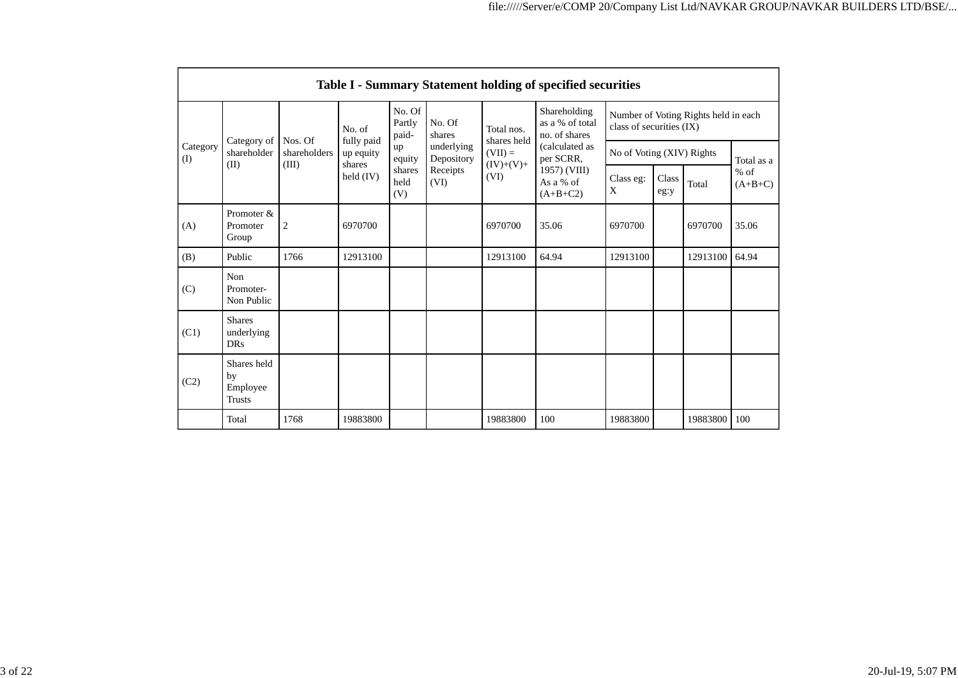|                         | Table I - Summary Statement holding of specified securities |                       |                                   |                           |                          |                           |                                                  |                                                                  |               |          |                     |
|-------------------------|-------------------------------------------------------------|-----------------------|-----------------------------------|---------------------------|--------------------------|---------------------------|--------------------------------------------------|------------------------------------------------------------------|---------------|----------|---------------------|
| Category<br>(I)<br>(II) | Category of                                                 | Nos. Of               | No. of                            | No. Of<br>Partly<br>paid- | No. Of<br>shares         | Total nos.<br>shares held | Shareholding<br>as a % of total<br>no. of shares | Number of Voting Rights held in each<br>class of securities (IX) |               |          |                     |
|                         | shareholder                                                 | shareholders<br>(III) | fully paid<br>up equity<br>shares | up<br>equity              | underlying<br>Depository | $(VII) =$<br>$(IV)+(V)+$  | (calculated as<br>per SCRR,                      | No of Voting (XIV) Rights                                        |               |          | Total as a          |
|                         |                                                             |                       | held (IV)                         | shares<br>held<br>(V)     | Receipts<br>(VI)         | (VI)                      | 1957) (VIII)<br>As a % of<br>$(A+B+C2)$          | Class eg:<br>X                                                   | Class<br>eg:y | Total    | $%$ of<br>$(A+B+C)$ |
| (A)                     | Promoter &<br>Promoter<br>Group                             | $\overline{2}$        | 6970700                           |                           |                          | 6970700                   | 35.06                                            | 6970700                                                          |               | 6970700  | 35.06               |
| (B)                     | Public                                                      | 1766                  | 12913100                          |                           |                          | 12913100                  | 64.94                                            | 12913100                                                         |               | 12913100 | 64.94               |
| (C)                     | Non<br>Promoter-<br>Non Public                              |                       |                                   |                           |                          |                           |                                                  |                                                                  |               |          |                     |
| (C1)                    | <b>Shares</b><br>underlying<br><b>DRs</b>                   |                       |                                   |                           |                          |                           |                                                  |                                                                  |               |          |                     |
| (C2)                    | Shares held<br>by<br>Employee<br><b>Trusts</b>              |                       |                                   |                           |                          |                           |                                                  |                                                                  |               |          |                     |
|                         | Total                                                       | 1768                  | 19883800                          |                           |                          | 19883800                  | 100                                              | 19883800                                                         |               | 19883800 | 100                 |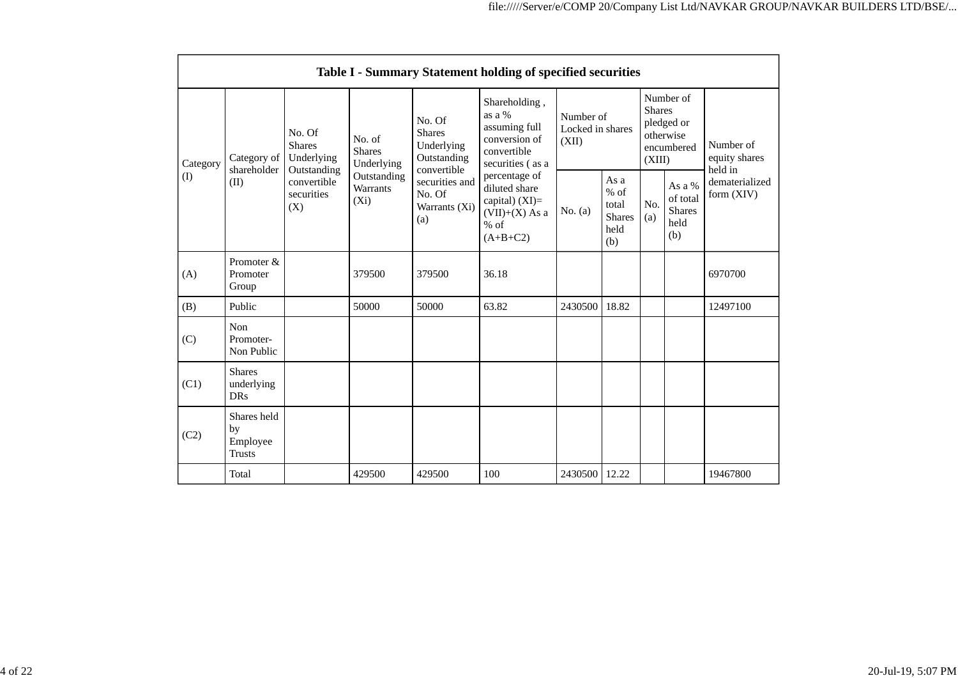|                 | Table I - Summary Statement holding of specified securities |                                                                                          |                                                                             |                                                                                                                         |                                                                                                                                                                                              |                                        |                                                         |                                                                               |                                                    |                                       |
|-----------------|-------------------------------------------------------------|------------------------------------------------------------------------------------------|-----------------------------------------------------------------------------|-------------------------------------------------------------------------------------------------------------------------|----------------------------------------------------------------------------------------------------------------------------------------------------------------------------------------------|----------------------------------------|---------------------------------------------------------|-------------------------------------------------------------------------------|----------------------------------------------------|---------------------------------------|
| Category<br>(1) | Category of<br>shareholder<br>(II)                          | No. Of<br><b>Shares</b><br>Underlying<br>Outstanding<br>convertible<br>securities<br>(X) | No. of<br><b>Shares</b><br>Underlying<br>Outstanding<br>Warrants<br>$(X_i)$ | No. Of<br><b>Shares</b><br>Underlying<br>Outstanding<br>convertible<br>securities and<br>No. Of<br>Warrants (Xi)<br>(a) | Shareholding,<br>as a %<br>assuming full<br>conversion of<br>convertible<br>securities (as a<br>percentage of<br>diluted share<br>capital) (XI)=<br>$(VII)+(X)$ As a<br>$%$ of<br>$(A+B+C2)$ | Number of<br>Locked in shares<br>(XII) |                                                         | Number of<br><b>Shares</b><br>pledged or<br>otherwise<br>encumbered<br>(XIII) |                                                    | Number of<br>equity shares<br>held in |
|                 |                                                             |                                                                                          |                                                                             |                                                                                                                         |                                                                                                                                                                                              | No. $(a)$                              | As a<br>$%$ of<br>total<br><b>Shares</b><br>held<br>(b) | No.<br>(a)                                                                    | As a %<br>of total<br><b>Shares</b><br>held<br>(b) | dematerialized<br>form (XIV)          |
| (A)             | Promoter &<br>Promoter<br>Group                             |                                                                                          | 379500                                                                      | 379500                                                                                                                  | 36.18                                                                                                                                                                                        |                                        |                                                         |                                                                               |                                                    | 6970700                               |
| (B)             | Public                                                      |                                                                                          | 50000                                                                       | 50000                                                                                                                   | 63.82                                                                                                                                                                                        | 2430500                                | 18.82                                                   |                                                                               |                                                    | 12497100                              |
| (C)             | Non<br>Promoter-<br>Non Public                              |                                                                                          |                                                                             |                                                                                                                         |                                                                                                                                                                                              |                                        |                                                         |                                                                               |                                                    |                                       |
| (C1)            | <b>Shares</b><br>underlying<br><b>DRs</b>                   |                                                                                          |                                                                             |                                                                                                                         |                                                                                                                                                                                              |                                        |                                                         |                                                                               |                                                    |                                       |
| (C2)            | Shares held<br>by<br>Employee<br><b>Trusts</b>              |                                                                                          |                                                                             |                                                                                                                         |                                                                                                                                                                                              |                                        |                                                         |                                                                               |                                                    |                                       |
|                 | Total                                                       |                                                                                          | 429500                                                                      | 429500                                                                                                                  | 100                                                                                                                                                                                          | 2430500                                | 12.22                                                   |                                                                               |                                                    | 19467800                              |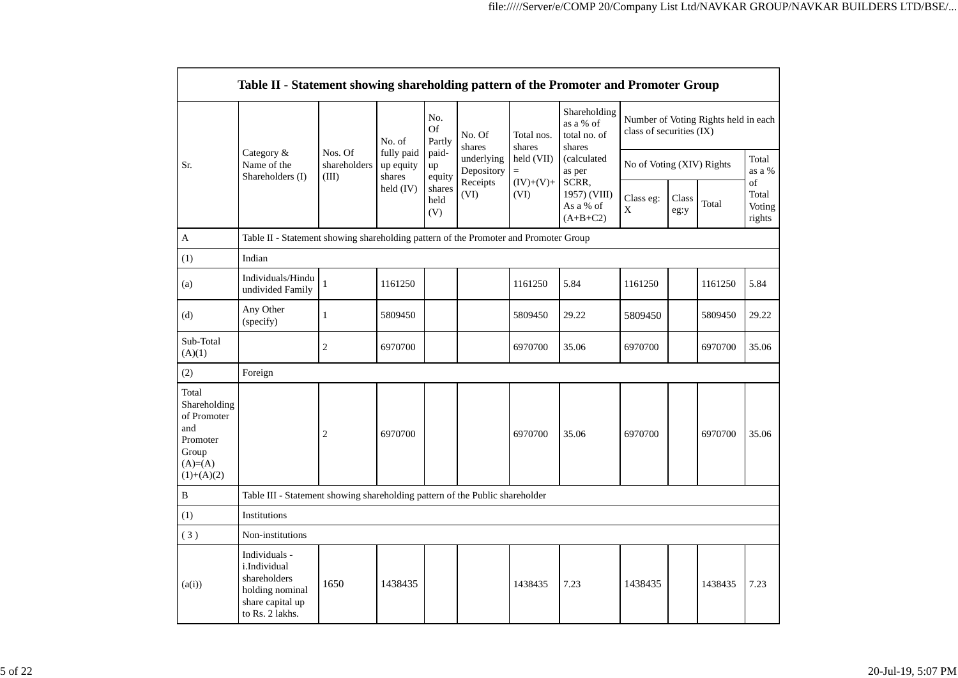|                                                                                               | Table II - Statement showing shareholding pattern of the Promoter and Promoter Group                    |                                                                                      |                                   |                            |                          |                                                                  |                                                                                                                                  |                           |               |                                      |                                 |
|-----------------------------------------------------------------------------------------------|---------------------------------------------------------------------------------------------------------|--------------------------------------------------------------------------------------|-----------------------------------|----------------------------|--------------------------|------------------------------------------------------------------|----------------------------------------------------------------------------------------------------------------------------------|---------------------------|---------------|--------------------------------------|---------------------------------|
|                                                                                               |                                                                                                         |                                                                                      | No. of                            | No.<br><b>Of</b><br>Partly | No. Of<br>shares         | Total nos.<br>shares<br>held (VII)<br>$=$<br>$(IV)+(V)+$<br>(VI) | Shareholding<br>as a % of<br>total no. of<br>shares<br>(calculated<br>as per<br>SCRR,<br>1957) (VIII)<br>As a % of<br>$(A+B+C2)$ | class of securities (IX)  |               | Number of Voting Rights held in each |                                 |
| Sr.                                                                                           | Category &<br>Name of the<br>Shareholders (I)                                                           | Nos. Of<br>shareholders<br>(III)                                                     | fully paid<br>up equity<br>shares | paid-<br>up<br>equity      | underlying<br>Depository |                                                                  |                                                                                                                                  | No of Voting (XIV) Rights |               |                                      | Total<br>as a %                 |
|                                                                                               |                                                                                                         |                                                                                      | held (IV)                         | shares<br>held<br>(V)      | Receipts<br>(VI)         |                                                                  |                                                                                                                                  | Class eg:<br>$\mathbf X$  | Class<br>eg:y | Total                                | of<br>Total<br>Voting<br>rights |
| A                                                                                             |                                                                                                         | Table II - Statement showing shareholding pattern of the Promoter and Promoter Group |                                   |                            |                          |                                                                  |                                                                                                                                  |                           |               |                                      |                                 |
| (1)                                                                                           | Indian                                                                                                  |                                                                                      |                                   |                            |                          |                                                                  |                                                                                                                                  |                           |               |                                      |                                 |
| (a)                                                                                           | Individuals/Hindu<br>undivided Family                                                                   | 1                                                                                    | 1161250                           |                            |                          | 1161250                                                          | 5.84                                                                                                                             | 1161250                   |               | 1161250                              | 5.84                            |
| (d)                                                                                           | Any Other<br>(specify)                                                                                  | 1                                                                                    | 5809450                           |                            |                          | 5809450                                                          | 29.22                                                                                                                            | 5809450                   |               | 5809450                              | 29.22                           |
| Sub-Total<br>(A)(1)                                                                           |                                                                                                         | $\overline{2}$                                                                       | 6970700                           |                            |                          | 6970700                                                          | 35.06                                                                                                                            | 6970700                   |               | 6970700                              | 35.06                           |
| (2)                                                                                           | Foreign                                                                                                 |                                                                                      |                                   |                            |                          |                                                                  |                                                                                                                                  |                           |               |                                      |                                 |
| Total<br>Shareholding<br>of Promoter<br>and<br>Promoter<br>Group<br>$(A)=(A)$<br>$(1)+(A)(2)$ |                                                                                                         | $\overline{2}$                                                                       | 6970700                           |                            |                          | 6970700                                                          | 35.06                                                                                                                            | 6970700                   |               | 6970700                              | 35.06                           |
| $\, {\bf B}$                                                                                  | Table III - Statement showing shareholding pattern of the Public shareholder                            |                                                                                      |                                   |                            |                          |                                                                  |                                                                                                                                  |                           |               |                                      |                                 |
| (1)                                                                                           | Institutions                                                                                            |                                                                                      |                                   |                            |                          |                                                                  |                                                                                                                                  |                           |               |                                      |                                 |
| (3)                                                                                           | Non-institutions                                                                                        |                                                                                      |                                   |                            |                          |                                                                  |                                                                                                                                  |                           |               |                                      |                                 |
| (a(i))                                                                                        | Individuals -<br>i.Individual<br>shareholders<br>holding nominal<br>share capital up<br>to Rs. 2 lakhs. | 1650                                                                                 | 1438435                           |                            |                          | 1438435                                                          | 7.23                                                                                                                             | 1438435                   |               | 1438435                              | 7.23                            |

- r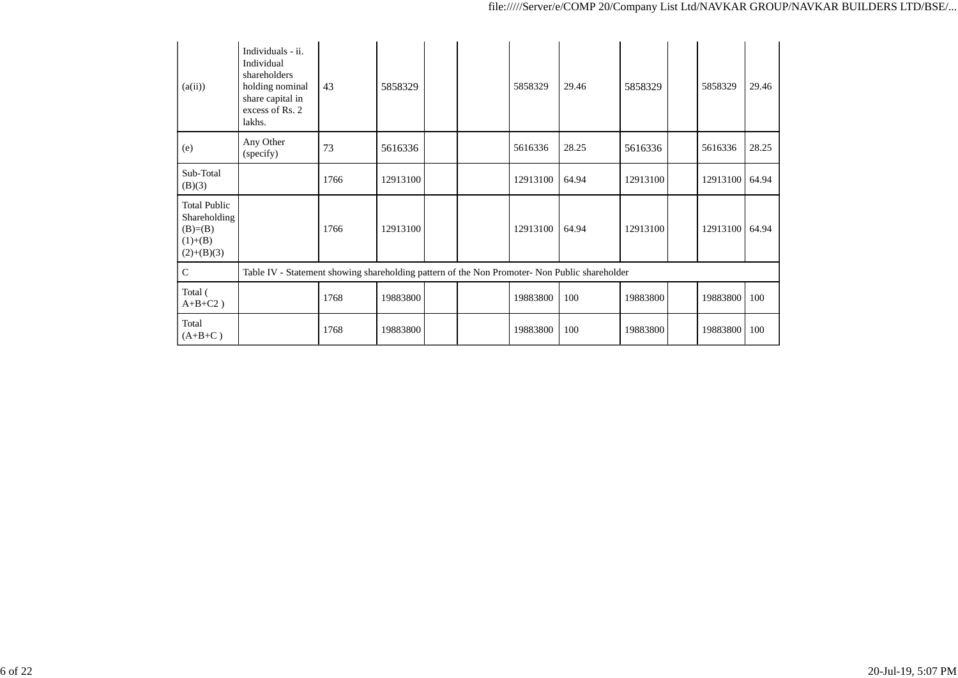| (a(ii))                                                                      | Individuals - ii.<br>Individual<br>shareholders<br>holding nominal<br>share capital in<br>excess of Rs. 2<br>lakhs. | 43   | 5858329  |  | 5858329  | 29.46 | 5858329  | 5858329  | 29.46 |
|------------------------------------------------------------------------------|---------------------------------------------------------------------------------------------------------------------|------|----------|--|----------|-------|----------|----------|-------|
| (e)                                                                          | Any Other<br>(specify)                                                                                              | 73   | 5616336  |  | 5616336  | 28.25 | 5616336  | 5616336  | 28.25 |
| Sub-Total<br>(B)(3)                                                          |                                                                                                                     | 1766 | 12913100 |  | 12913100 | 64.94 | 12913100 | 12913100 | 64.94 |
| <b>Total Public</b><br>Shareholding<br>$(B)=B)$<br>$(1)+(B)$<br>$(2)+(B)(3)$ |                                                                                                                     | 1766 | 12913100 |  | 12913100 | 64.94 | 12913100 | 12913100 | 64.94 |
| $\mathsf{C}$                                                                 | Table IV - Statement showing shareholding pattern of the Non Promoter- Non Public shareholder                       |      |          |  |          |       |          |          |       |
| Total (<br>$A+B+C2$ )                                                        |                                                                                                                     | 1768 | 19883800 |  | 19883800 | 100   | 19883800 | 19883800 | 100   |
| Total<br>$(A+B+C)$                                                           |                                                                                                                     | 1768 | 19883800 |  | 19883800 | 100   | 19883800 | 19883800 | 100   |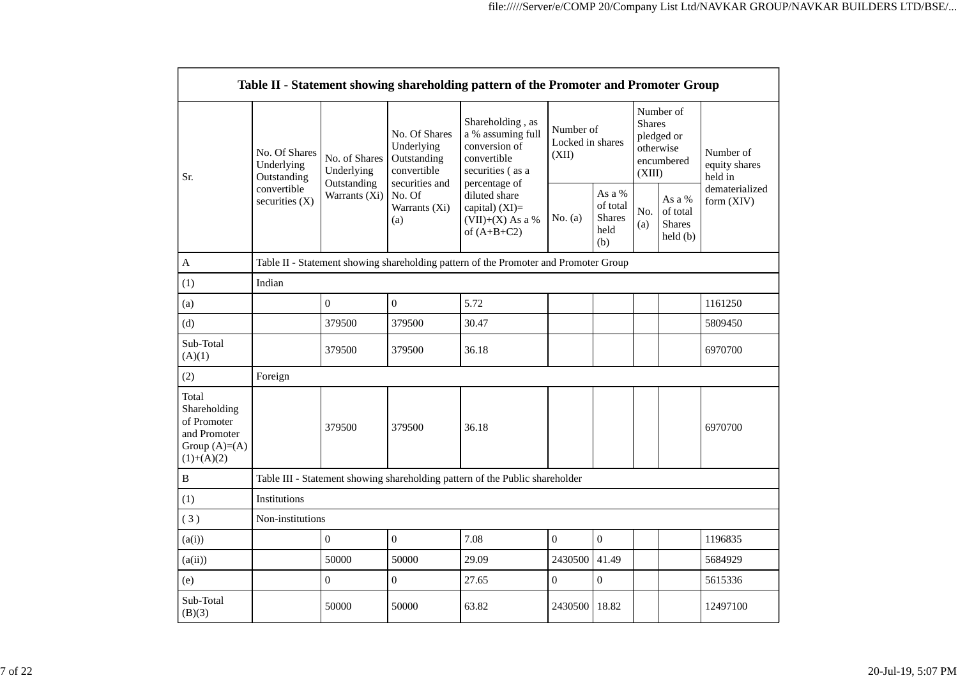|                                                                                        |                                                                                      |                              |                                                                                                               | Table II - Statement showing shareholding pattern of the Promoter and Promoter Group                                                                                                   |                |                                                       |            |                                                                               |                                       |
|----------------------------------------------------------------------------------------|--------------------------------------------------------------------------------------|------------------------------|---------------------------------------------------------------------------------------------------------------|----------------------------------------------------------------------------------------------------------------------------------------------------------------------------------------|----------------|-------------------------------------------------------|------------|-------------------------------------------------------------------------------|---------------------------------------|
| Sr.                                                                                    | No. Of Shares<br>Underlying<br>Outstanding<br>convertible<br>securities $(X)$        | No. of Shares<br>Underlying  | No. Of Shares<br>Underlying<br>Outstanding<br>convertible<br>securities and<br>No. Of<br>Warrants (Xi)<br>(a) | Shareholding, as<br>a % assuming full<br>conversion of<br>convertible<br>securities (as a<br>percentage of<br>diluted share<br>capital) $(XI)=$<br>$(VII)+(X)$ As a %<br>of $(A+B+C2)$ | (XII)          | Number of<br>Locked in shares                         |            | Number of<br><b>Shares</b><br>pledged or<br>otherwise<br>encumbered<br>(XIII) | Number of<br>equity shares<br>held in |
|                                                                                        |                                                                                      | Outstanding<br>Warrants (Xi) |                                                                                                               |                                                                                                                                                                                        | No. $(a)$      | As a $\%$<br>of total<br><b>Shares</b><br>held<br>(b) | No.<br>(a) | As a %<br>of total<br><b>Shares</b><br>held(b)                                | dematerialized<br>form (XIV)          |
| $\mathbf A$                                                                            | Table II - Statement showing shareholding pattern of the Promoter and Promoter Group |                              |                                                                                                               |                                                                                                                                                                                        |                |                                                       |            |                                                                               |                                       |
| (1)                                                                                    | Indian                                                                               |                              |                                                                                                               |                                                                                                                                                                                        |                |                                                       |            |                                                                               |                                       |
| (a)                                                                                    |                                                                                      | $\mathbf{0}$                 | $\overline{0}$                                                                                                | 5.72                                                                                                                                                                                   |                |                                                       |            |                                                                               | 1161250                               |
| (d)                                                                                    |                                                                                      | 379500                       | 379500                                                                                                        | 30.47                                                                                                                                                                                  |                |                                                       |            |                                                                               | 5809450                               |
| Sub-Total<br>(A)(1)                                                                    |                                                                                      | 379500                       | 379500                                                                                                        | 36.18                                                                                                                                                                                  |                |                                                       |            |                                                                               | 6970700                               |
| (2)                                                                                    | Foreign                                                                              |                              |                                                                                                               |                                                                                                                                                                                        |                |                                                       |            |                                                                               |                                       |
| Total<br>Shareholding<br>of Promoter<br>and Promoter<br>Group $(A)=A)$<br>$(1)+(A)(2)$ |                                                                                      | 379500                       | 379500                                                                                                        | 36.18                                                                                                                                                                                  |                |                                                       |            |                                                                               | 6970700                               |
| $\, {\bf B}$                                                                           |                                                                                      |                              |                                                                                                               | Table III - Statement showing shareholding pattern of the Public shareholder                                                                                                           |                |                                                       |            |                                                                               |                                       |
| (1)                                                                                    | Institutions                                                                         |                              |                                                                                                               |                                                                                                                                                                                        |                |                                                       |            |                                                                               |                                       |
| (3)                                                                                    | Non-institutions                                                                     |                              |                                                                                                               |                                                                                                                                                                                        |                |                                                       |            |                                                                               |                                       |
| (a(i))                                                                                 |                                                                                      | $\overline{0}$               | $\overline{0}$                                                                                                | 7.08                                                                                                                                                                                   | $\mathbf{0}$   | $\overline{0}$                                        |            |                                                                               | 1196835                               |
| (a(ii))                                                                                |                                                                                      | 50000                        | 50000                                                                                                         | 29.09                                                                                                                                                                                  | 2430500        | 41.49                                                 |            |                                                                               | 5684929                               |
| (e)                                                                                    |                                                                                      | $\overline{0}$               | $\overline{0}$                                                                                                | 27.65                                                                                                                                                                                  | $\overline{0}$ | $\overline{0}$                                        |            |                                                                               | 5615336                               |
| Sub-Total<br>(B)(3)                                                                    |                                                                                      | 50000                        | 50000                                                                                                         | 63.82                                                                                                                                                                                  | 2430500        | 18.82                                                 |            |                                                                               | 12497100                              |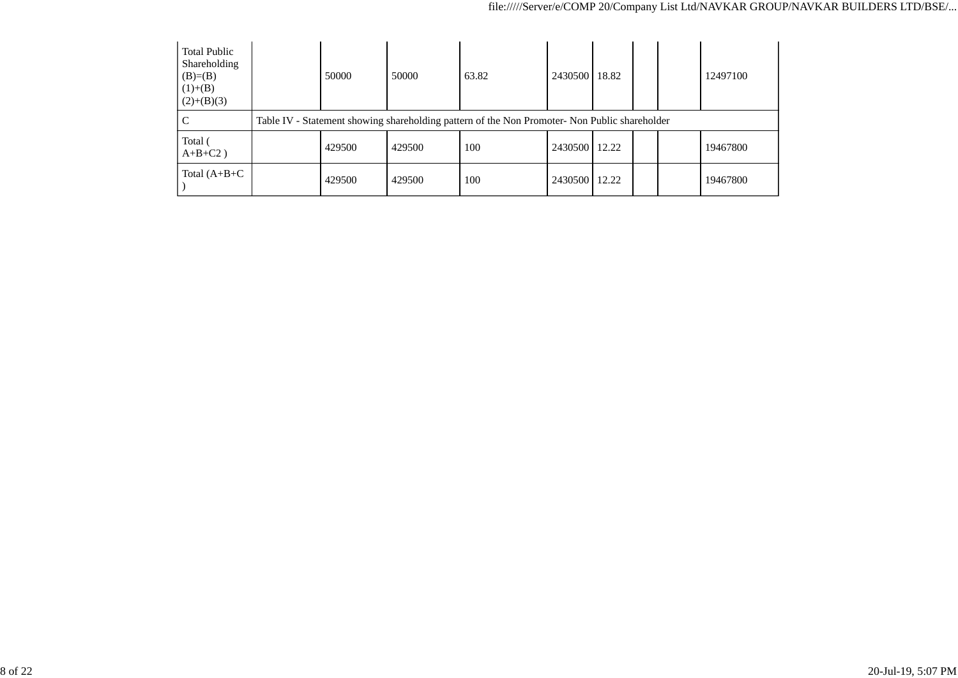| <b>Total Public</b><br>Shareholding<br>$(B)=B)$<br>$(1)+(B)$<br>$(2)+(B)(3)$ | 50000                                                                                         | 50000  | 63.82 | 2430500 18.82 |       |  |  | 12497100 |  |
|------------------------------------------------------------------------------|-----------------------------------------------------------------------------------------------|--------|-------|---------------|-------|--|--|----------|--|
| C                                                                            | Table IV - Statement showing shareholding pattern of the Non Promoter- Non Public shareholder |        |       |               |       |  |  |          |  |
| Total (<br>$A+B+C2$ )                                                        | 429500                                                                                        | 429500 | 100   | 2430500 12.22 |       |  |  | 19467800 |  |
| Total $(A+B+C)$                                                              | 429500                                                                                        | 429500 | 100   | 2430500       | 12.22 |  |  | 19467800 |  |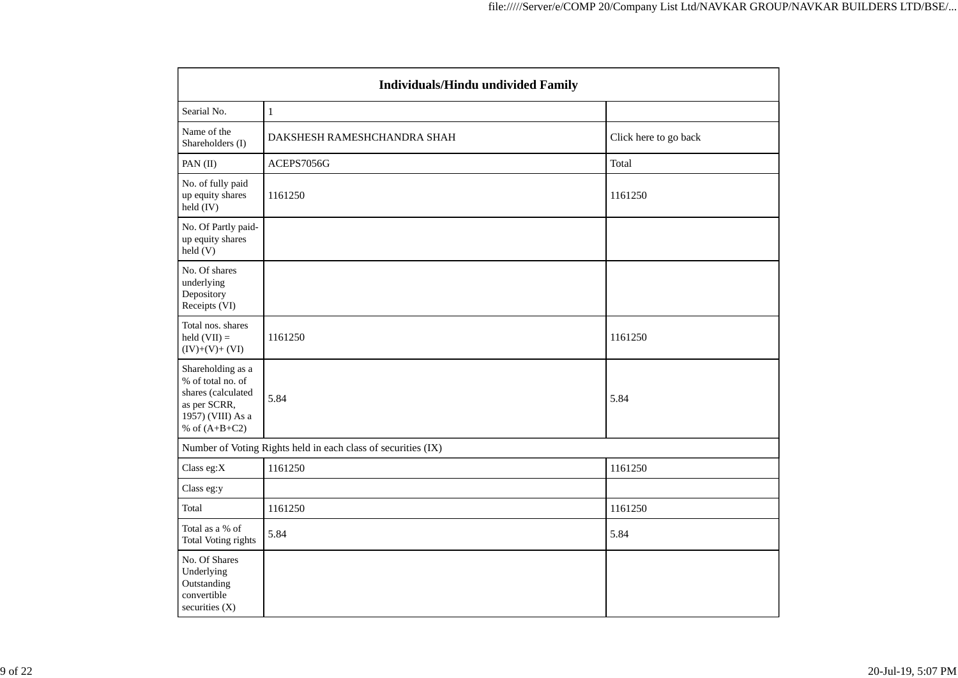| <b>Individuals/Hindu undivided Family</b>                                                                            |                                                               |                       |  |  |  |  |  |
|----------------------------------------------------------------------------------------------------------------------|---------------------------------------------------------------|-----------------------|--|--|--|--|--|
| Searial No.                                                                                                          | $\mathbf{1}$                                                  |                       |  |  |  |  |  |
| Name of the<br>Shareholders (I)                                                                                      | DAKSHESH RAMESHCHANDRA SHAH                                   | Click here to go back |  |  |  |  |  |
| PAN (II)                                                                                                             | ACEPS7056G                                                    | Total                 |  |  |  |  |  |
| No. of fully paid<br>up equity shares<br>held (IV)                                                                   | 1161250                                                       | 1161250               |  |  |  |  |  |
| No. Of Partly paid-<br>up equity shares<br>held(V)                                                                   |                                                               |                       |  |  |  |  |  |
| No. Of shares<br>underlying<br>Depository<br>Receipts (VI)                                                           |                                                               |                       |  |  |  |  |  |
| Total nos. shares<br>held $(VII) =$<br>$(IV)+(V)+(VI)$                                                               | 1161250                                                       | 1161250               |  |  |  |  |  |
| Shareholding as a<br>% of total no. of<br>shares (calculated<br>as per SCRR,<br>1957) (VIII) As a<br>% of $(A+B+C2)$ | 5.84                                                          | 5.84                  |  |  |  |  |  |
|                                                                                                                      | Number of Voting Rights held in each class of securities (IX) |                       |  |  |  |  |  |
| Class eg:X                                                                                                           | 1161250                                                       | 1161250               |  |  |  |  |  |
| Class eg:y                                                                                                           |                                                               |                       |  |  |  |  |  |
| Total                                                                                                                | 1161250                                                       | 1161250               |  |  |  |  |  |
| Total as a % of<br>Total Voting rights                                                                               | 5.84                                                          | 5.84                  |  |  |  |  |  |
| No. Of Shares<br>Underlying<br>Outstanding<br>convertible<br>securities (X)                                          |                                                               |                       |  |  |  |  |  |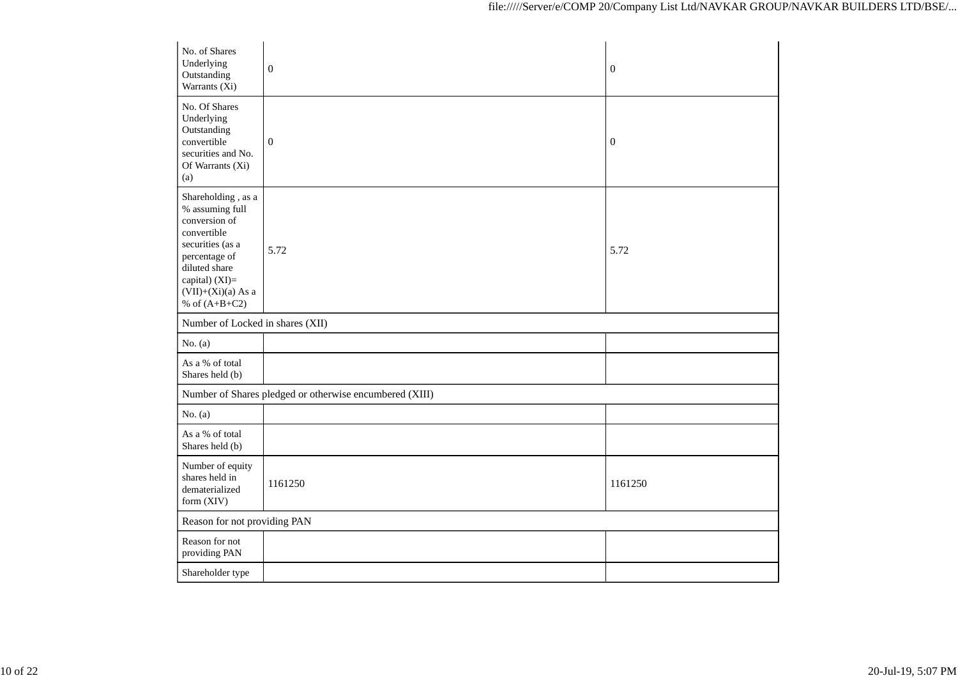| No. of Shares<br>Underlying<br>Outstanding<br>Warrants (Xi)                                                                                                                              | $\boldsymbol{0}$                                        | $\boldsymbol{0}$ |
|------------------------------------------------------------------------------------------------------------------------------------------------------------------------------------------|---------------------------------------------------------|------------------|
| No. Of Shares<br>Underlying<br>Outstanding<br>convertible<br>securities and No.<br>Of Warrants (Xi)<br>(a)                                                                               | $\boldsymbol{0}$                                        | $\boldsymbol{0}$ |
| Shareholding, as a<br>% assuming full<br>conversion of<br>convertible<br>securities (as a<br>percentage of<br>diluted share<br>capital) (XI)=<br>$(VII)+(Xi)(a)$ As a<br>% of $(A+B+C2)$ | 5.72                                                    | 5.72             |
| Number of Locked in shares (XII)                                                                                                                                                         |                                                         |                  |
| No. $(a)$                                                                                                                                                                                |                                                         |                  |
| As a % of total<br>Shares held (b)                                                                                                                                                       |                                                         |                  |
|                                                                                                                                                                                          | Number of Shares pledged or otherwise encumbered (XIII) |                  |
| No. $(a)$                                                                                                                                                                                |                                                         |                  |
| As a % of total<br>Shares held (b)                                                                                                                                                       |                                                         |                  |
| Number of equity<br>shares held in<br>dematerialized<br>form (XIV)                                                                                                                       | 1161250                                                 | 1161250          |
| Reason for not providing PAN                                                                                                                                                             |                                                         |                  |
| Reason for not<br>providing PAN                                                                                                                                                          |                                                         |                  |
| Shareholder type                                                                                                                                                                         |                                                         |                  |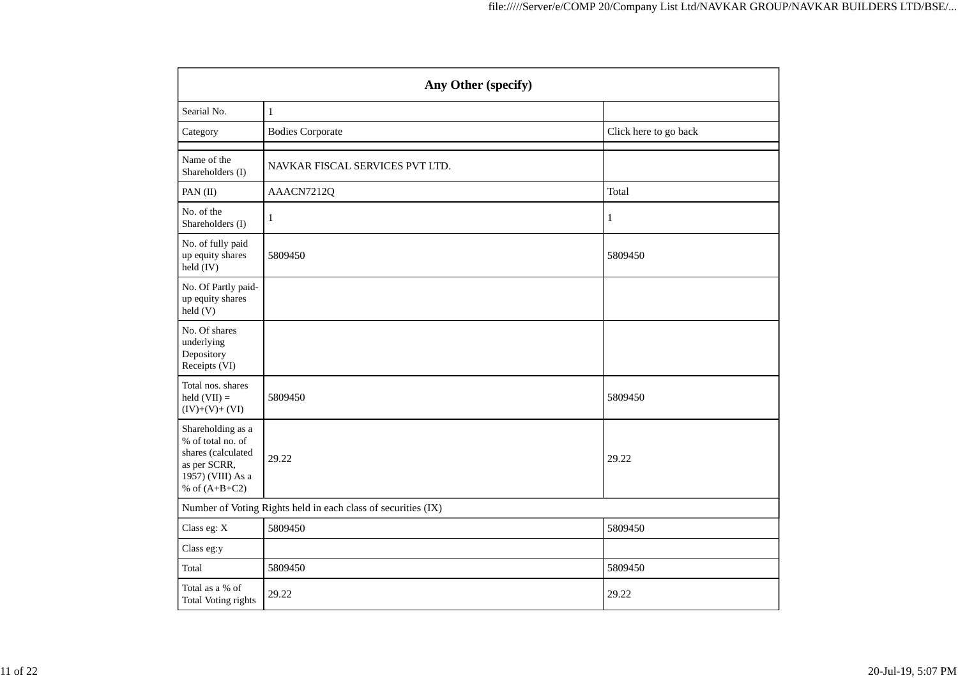| Any Other (specify)                                                                                                  |                                                               |                       |  |  |  |  |  |
|----------------------------------------------------------------------------------------------------------------------|---------------------------------------------------------------|-----------------------|--|--|--|--|--|
| Searial No.                                                                                                          | $1\,$                                                         |                       |  |  |  |  |  |
| Category                                                                                                             | <b>Bodies Corporate</b>                                       | Click here to go back |  |  |  |  |  |
| Name of the<br>Shareholders (I)                                                                                      | NAVKAR FISCAL SERVICES PVT LTD.                               |                       |  |  |  |  |  |
| PAN (II)                                                                                                             | AAACN7212Q                                                    | Total                 |  |  |  |  |  |
| No. of the<br>Shareholders (I)                                                                                       | 1                                                             | $\mathbf{1}$          |  |  |  |  |  |
| No. of fully paid<br>up equity shares<br>held (IV)                                                                   | 5809450                                                       | 5809450               |  |  |  |  |  |
| No. Of Partly paid-<br>up equity shares<br>held(V)                                                                   |                                                               |                       |  |  |  |  |  |
| No. Of shares<br>underlying<br>Depository<br>Receipts (VI)                                                           |                                                               |                       |  |  |  |  |  |
| Total nos. shares<br>held $(VII)$ =<br>$(IV)+(V)+(VI)$                                                               | 5809450                                                       | 5809450               |  |  |  |  |  |
| Shareholding as a<br>% of total no. of<br>shares (calculated<br>as per SCRR,<br>1957) (VIII) As a<br>% of $(A+B+C2)$ | 29.22                                                         | 29.22                 |  |  |  |  |  |
|                                                                                                                      | Number of Voting Rights held in each class of securities (IX) |                       |  |  |  |  |  |
| Class eg: X                                                                                                          | 5809450                                                       | 5809450               |  |  |  |  |  |
| Class eg:y                                                                                                           |                                                               |                       |  |  |  |  |  |
| Total                                                                                                                | 5809450                                                       | 5809450               |  |  |  |  |  |
| Total as a % of<br>Total Voting rights                                                                               | 29.22                                                         | 29.22                 |  |  |  |  |  |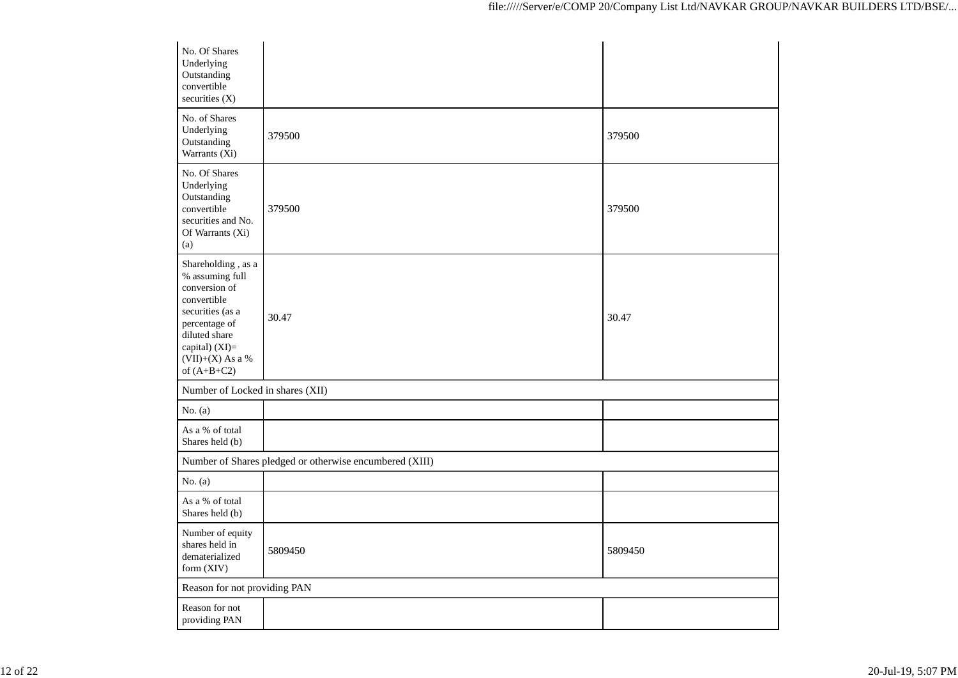| No. Of Shares<br>Underlying<br>Outstanding<br>convertible<br>securities $(X)$                                                                                                          |                                                         |         |
|----------------------------------------------------------------------------------------------------------------------------------------------------------------------------------------|---------------------------------------------------------|---------|
| No. of Shares<br>Underlying<br>Outstanding<br>Warrants (Xi)                                                                                                                            | 379500                                                  | 379500  |
| No. Of Shares<br>Underlying<br>Outstanding<br>convertible<br>securities and No.<br>Of Warrants (Xi)<br>(a)                                                                             | 379500                                                  | 379500  |
| Shareholding, as a<br>% assuming full<br>conversion of<br>convertible<br>securities (as a<br>percentage of<br>diluted share<br>capital) $(XI)=$<br>$(VII)+(X)$ As a %<br>of $(A+B+C2)$ | 30.47                                                   | 30.47   |
| Number of Locked in shares (XII)                                                                                                                                                       |                                                         |         |
| No. $(a)$                                                                                                                                                                              |                                                         |         |
| As a % of total<br>Shares held (b)                                                                                                                                                     |                                                         |         |
|                                                                                                                                                                                        | Number of Shares pledged or otherwise encumbered (XIII) |         |
| No. $(a)$                                                                                                                                                                              |                                                         |         |
| As a % of total<br>Shares held (b)                                                                                                                                                     |                                                         |         |
| Number of equity<br>shares held in<br>dematerialized<br>form (XIV)                                                                                                                     | 5809450                                                 | 5809450 |
| Reason for not providing PAN                                                                                                                                                           |                                                         |         |
| Reason for not<br>providing PAN                                                                                                                                                        |                                                         |         |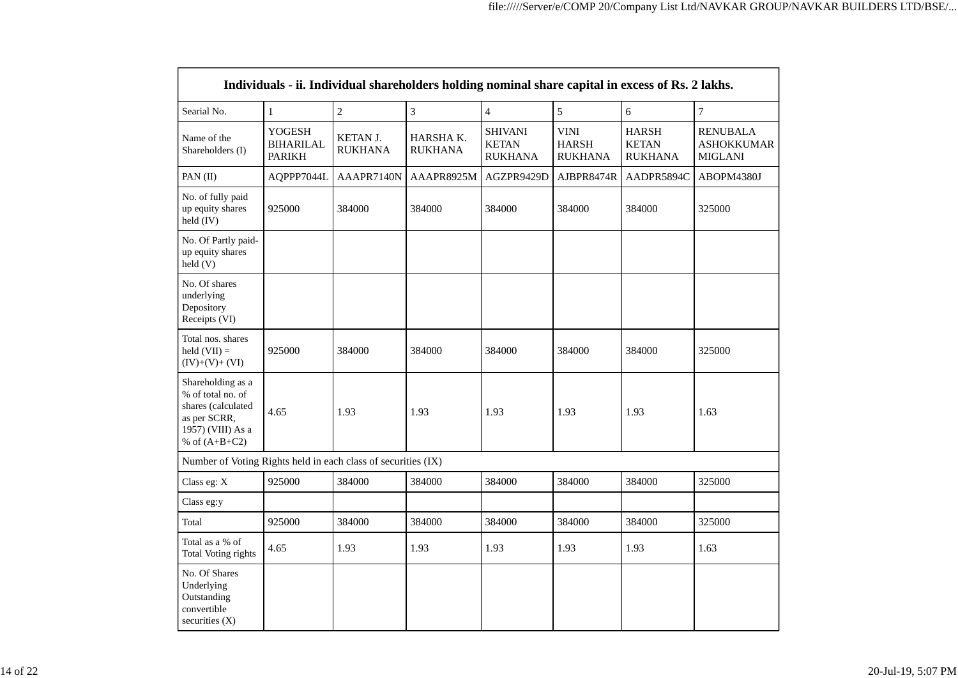| Individuals - ii. Individual shareholders holding nominal share capital in excess of Rs. 2 lakhs.                    |              |                                   |                             |                                                                                                   |            |                                                |                                                        |  |  |  |
|----------------------------------------------------------------------------------------------------------------------|--------------|-----------------------------------|-----------------------------|---------------------------------------------------------------------------------------------------|------------|------------------------------------------------|--------------------------------------------------------|--|--|--|
| Searial No.                                                                                                          | $\mathbf{1}$ | $\overline{2}$                    | 3                           | $\overline{4}$                                                                                    | 5          | $6\,$                                          | $\overline{7}$                                         |  |  |  |
| <b>YOGESH</b><br>Name of the<br><b>BIHARILAL</b><br>Shareholders (I)<br><b>PARIKH</b>                                |              | <b>KETAN J.</b><br><b>RUKHANA</b> | HARSHA K.<br><b>RUKHANA</b> | <b>VINI</b><br><b>SHIVANI</b><br><b>KETAN</b><br><b>HARSH</b><br><b>RUKHANA</b><br><b>RUKHANA</b> |            | <b>HARSH</b><br><b>KETAN</b><br><b>RUKHANA</b> | <b>RENUBALA</b><br><b>ASHOKKUMAR</b><br><b>MIGLANI</b> |  |  |  |
| PAN (II)                                                                                                             | AQPPP7044L   | AAAPR7140N                        | AAAPR8925M                  | AGZPR9429D                                                                                        | AJBPR8474R | AADPR5894C                                     | ABOPM4380J                                             |  |  |  |
| No. of fully paid<br>up equity shares<br>held (IV)                                                                   | 925000       | 384000                            | 384000                      | 384000                                                                                            | 384000     | 384000                                         | 325000                                                 |  |  |  |
| No. Of Partly paid-<br>up equity shares<br>held (V)                                                                  |              |                                   |                             |                                                                                                   |            |                                                |                                                        |  |  |  |
| No. Of shares<br>underlying<br>Depository<br>Receipts (VI)                                                           |              |                                   |                             |                                                                                                   |            |                                                |                                                        |  |  |  |
| Total nos. shares<br>held $(VII) =$<br>$(IV)+(V)+(VI)$                                                               | 925000       | 384000                            | 384000                      | 384000                                                                                            | 384000     | 384000                                         | 325000                                                 |  |  |  |
| Shareholding as a<br>% of total no. of<br>shares (calculated<br>as per SCRR,<br>1957) (VIII) As a<br>% of $(A+B+C2)$ | 4.65         | 1.93                              | 1.93                        | 1.93<br>1.93                                                                                      |            | 1.93                                           | 1.63                                                   |  |  |  |
| Number of Voting Rights held in each class of securities (IX)                                                        |              |                                   |                             |                                                                                                   |            |                                                |                                                        |  |  |  |
| Class eg: X                                                                                                          | 925000       | 384000                            | 384000                      | 384000                                                                                            | 384000     | 384000                                         | 325000                                                 |  |  |  |
| Class eg:y                                                                                                           |              |                                   |                             |                                                                                                   |            |                                                |                                                        |  |  |  |
| Total                                                                                                                | 925000       | 384000                            | 384000                      | 384000                                                                                            | 384000     | 384000                                         | 325000                                                 |  |  |  |
| Total as a % of<br><b>Total Voting rights</b>                                                                        | 4.65         | 1.93                              | 1.93                        | 1.93                                                                                              | 1.93       | 1.93                                           | 1.63                                                   |  |  |  |
| No. Of Shares<br>Underlying<br>Outstanding<br>convertible<br>securities (X)                                          |              |                                   |                             |                                                                                                   |            |                                                |                                                        |  |  |  |

┑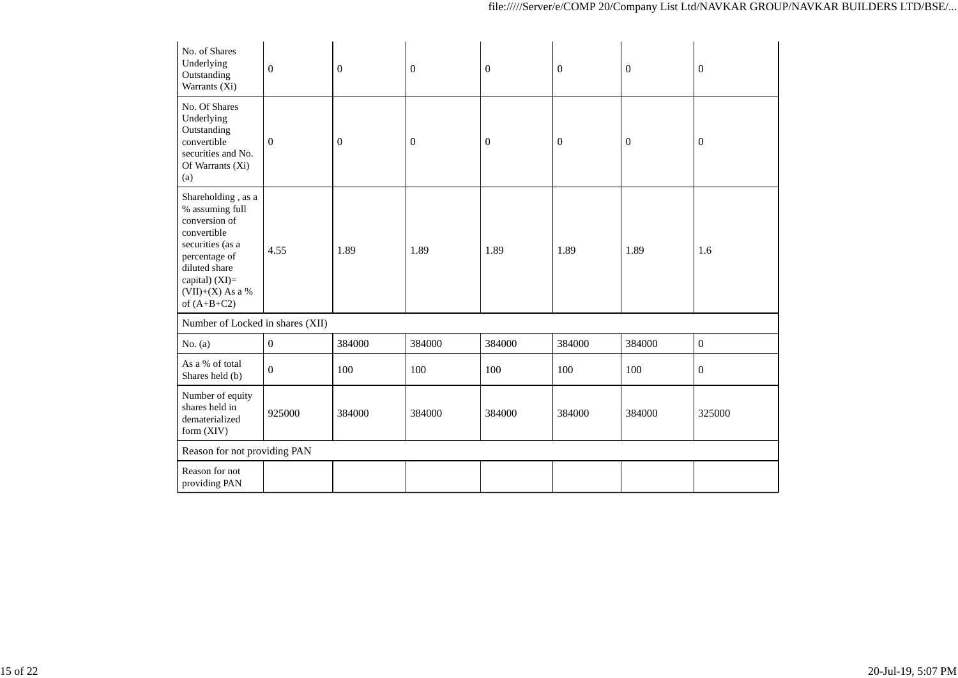| No. of Shares<br>Underlying<br>Outstanding<br>Warrants (Xi)                                                                                                                            | $\boldsymbol{0}$ | $\boldsymbol{0}$ | $\boldsymbol{0}$ | $\overline{0}$ | $\boldsymbol{0}$ | $\boldsymbol{0}$ | $\mathbf{0}$     |  |
|----------------------------------------------------------------------------------------------------------------------------------------------------------------------------------------|------------------|------------------|------------------|----------------|------------------|------------------|------------------|--|
| No. Of Shares<br>Underlying<br>Outstanding<br>convertible<br>securities and No.<br>Of Warrants (Xi)<br>(a)                                                                             | $\mathbf{0}$     | $\mathbf{0}$     | $\overline{0}$   | $\theta$       | $\boldsymbol{0}$ | $\mathbf{0}$     | $\boldsymbol{0}$ |  |
| Shareholding, as a<br>% assuming full<br>conversion of<br>convertible<br>securities (as a<br>percentage of<br>diluted share<br>capital) $(XI)=$<br>$(VII)+(X)$ As a %<br>of $(A+B+C2)$ | 4.55             | 1.89             | 1.89             | 1.89           | 1.89             | 1.89             | 1.6              |  |
| Number of Locked in shares (XII)                                                                                                                                                       |                  |                  |                  |                |                  |                  |                  |  |
| No. $(a)$                                                                                                                                                                              | $\boldsymbol{0}$ | 384000           | 384000           | 384000         | 384000           | 384000           | $\boldsymbol{0}$ |  |
| As a % of total<br>Shares held (b)                                                                                                                                                     | $\boldsymbol{0}$ | 100              | 100              | 100            | 100              | 100              | $\overline{0}$   |  |
| Number of equity<br>shares held in<br>dematerialized<br>form (XIV)                                                                                                                     | 925000           | 384000           | 384000           | 384000         | 384000           | 384000           | 325000           |  |
| Reason for not providing PAN                                                                                                                                                           |                  |                  |                  |                |                  |                  |                  |  |
| Reason for not<br>providing PAN                                                                                                                                                        |                  |                  |                  |                |                  |                  |                  |  |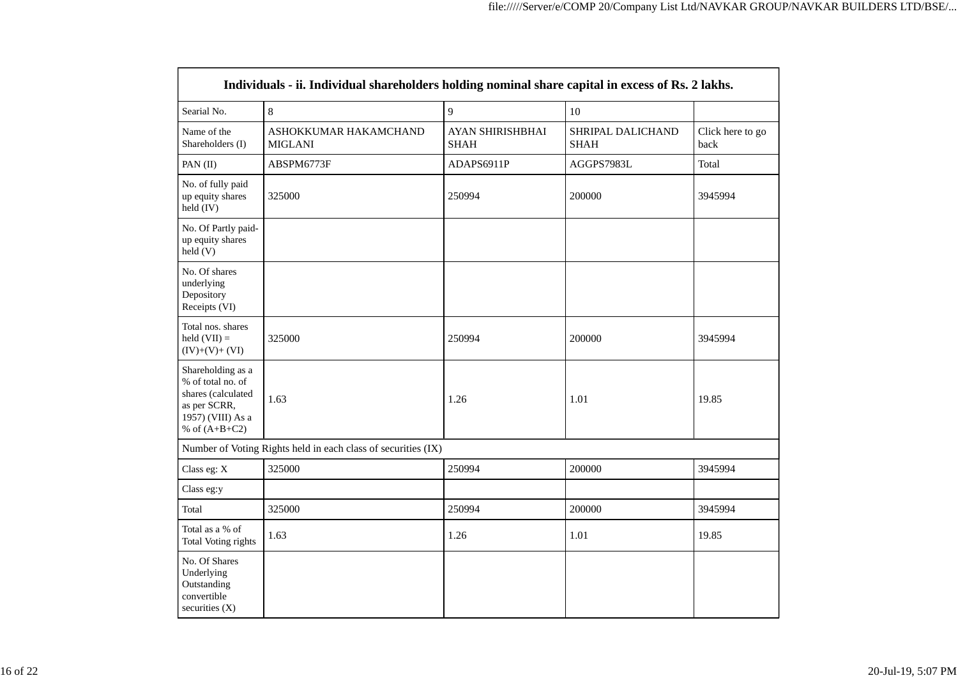| Individuals - ii. Individual shareholders holding nominal share capital in excess of Rs. 2 lakhs.                    |                                                               |                                 |                                  |                          |  |  |  |  |  |  |
|----------------------------------------------------------------------------------------------------------------------|---------------------------------------------------------------|---------------------------------|----------------------------------|--------------------------|--|--|--|--|--|--|
| Searial No.                                                                                                          | 8                                                             | 9                               | 10                               |                          |  |  |  |  |  |  |
| Name of the<br>Shareholders (I)                                                                                      | ASHOKKUMAR HAKAMCHAND<br><b>MIGLANI</b>                       | AYAN SHIRISHBHAI<br><b>SHAH</b> | SHRIPAL DALICHAND<br><b>SHAH</b> | Click here to go<br>back |  |  |  |  |  |  |
| PAN (II)                                                                                                             | ABSPM6773F                                                    | ADAPS6911P                      | AGGPS7983L                       | Total                    |  |  |  |  |  |  |
| No. of fully paid<br>up equity shares<br>held (IV)                                                                   | 325000                                                        | 250994                          | 200000                           | 3945994                  |  |  |  |  |  |  |
| No. Of Partly paid-<br>up equity shares<br>held(V)                                                                   |                                                               |                                 |                                  |                          |  |  |  |  |  |  |
| No. Of shares<br>underlying<br>Depository<br>Receipts (VI)                                                           |                                                               |                                 |                                  |                          |  |  |  |  |  |  |
| Total nos. shares<br>held $(VII)$ =<br>$(IV)+(V)+(VI)$                                                               | 325000                                                        | 250994                          | 200000                           | 3945994                  |  |  |  |  |  |  |
| Shareholding as a<br>% of total no. of<br>shares (calculated<br>as per SCRR,<br>1957) (VIII) As a<br>% of $(A+B+C2)$ | 1.63                                                          |                                 | 1.01                             | 19.85                    |  |  |  |  |  |  |
|                                                                                                                      | Number of Voting Rights held in each class of securities (IX) |                                 |                                  |                          |  |  |  |  |  |  |
| Class eg: X                                                                                                          | 325000                                                        | 250994                          | 200000                           | 3945994                  |  |  |  |  |  |  |
| Class eg:y                                                                                                           |                                                               |                                 |                                  |                          |  |  |  |  |  |  |
| Total                                                                                                                | 325000                                                        | 250994                          | 200000                           | 3945994                  |  |  |  |  |  |  |
| Total as a % of<br><b>Total Voting rights</b>                                                                        | 1.63                                                          | 1.26                            | 1.01                             | 19.85                    |  |  |  |  |  |  |
| No. Of Shares<br>Underlying<br>Outstanding<br>convertible<br>securities $(X)$                                        |                                                               |                                 |                                  |                          |  |  |  |  |  |  |

 $\overline{\phantom{0}}$ 

 $\blacksquare$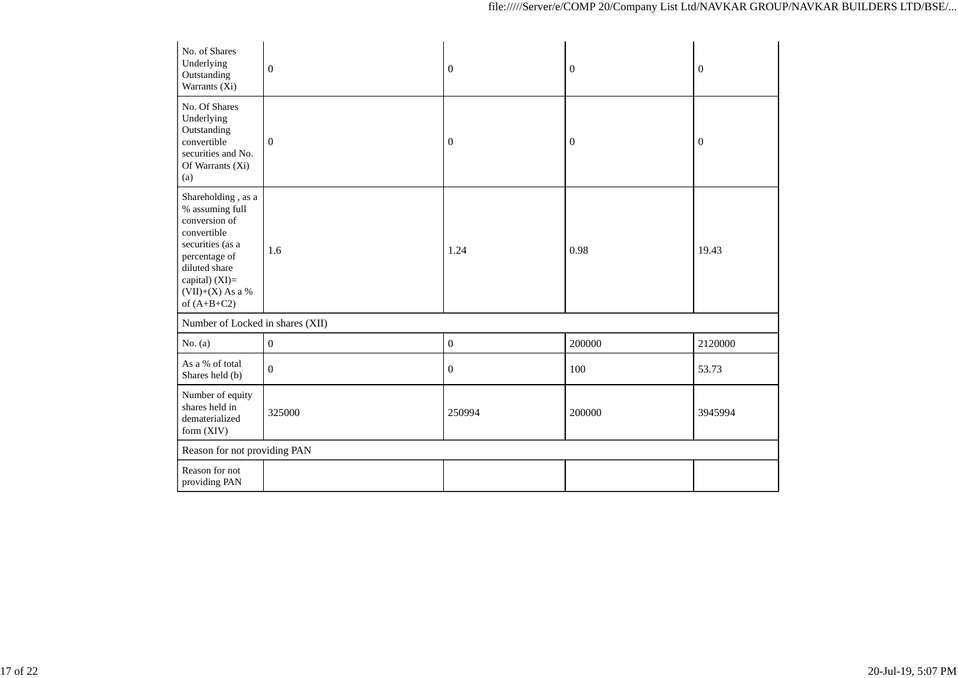| No. of Shares<br>Underlying<br>Outstanding<br>Warrants (Xi)                                                                                                                          | $\boldsymbol{0}$ | $\boldsymbol{0}$ | $\boldsymbol{0}$ | $\boldsymbol{0}$ |
|--------------------------------------------------------------------------------------------------------------------------------------------------------------------------------------|------------------|------------------|------------------|------------------|
| No. Of Shares<br>Underlying<br>Outstanding<br>convertible<br>securities and No.<br>Of Warrants (Xi)<br>(a)                                                                           | $\boldsymbol{0}$ | $\boldsymbol{0}$ | $\boldsymbol{0}$ | $\boldsymbol{0}$ |
| Shareholding, as a<br>% assuming full<br>conversion of<br>convertible<br>securities (as a<br>percentage of<br>diluted share<br>capital) (XI)=<br>$(VII)+(X)$ As a %<br>of $(A+B+C2)$ | 1.6              | 1.24             | 0.98             | 19.43            |
| Number of Locked in shares (XII)                                                                                                                                                     |                  |                  |                  |                  |
| No. $(a)$                                                                                                                                                                            | $\boldsymbol{0}$ | $\boldsymbol{0}$ | 200000           | 2120000          |
| As a % of total<br>Shares held (b)                                                                                                                                                   | $\mathbf{0}$     | $\mathbf{0}$     | 100              | 53.73            |
| Number of equity<br>shares held in<br>dematerialized<br>form (XIV)                                                                                                                   | 325000           | 250994           | 200000           | 3945994          |
| Reason for not providing PAN                                                                                                                                                         |                  |                  |                  |                  |
| Reason for not<br>providing PAN                                                                                                                                                      |                  |                  |                  |                  |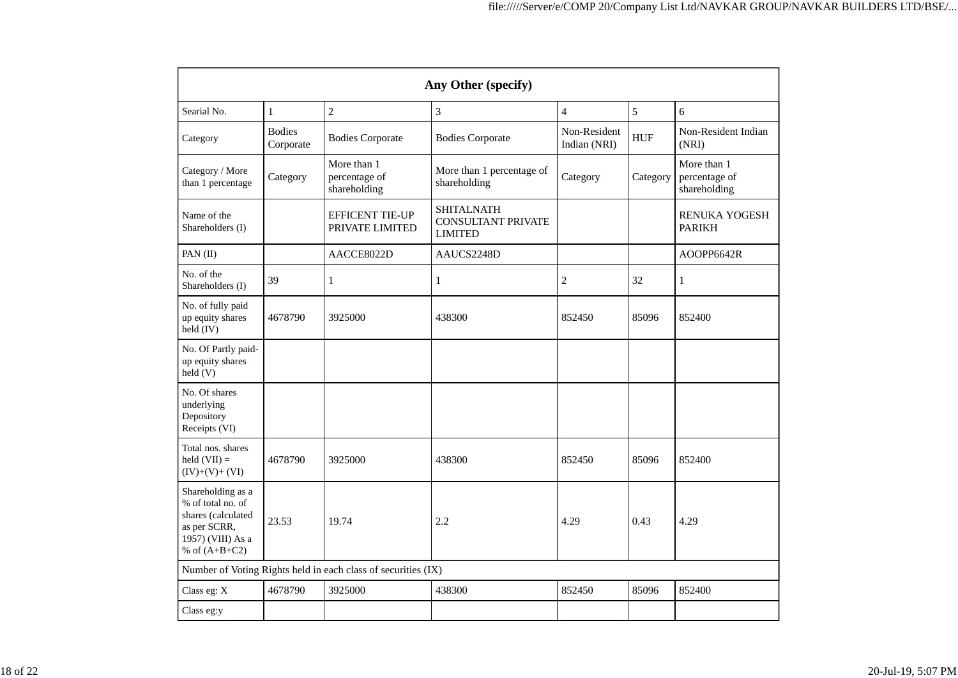| Any Other (specify)                                                                                                  |                            |                                                               |                                                                  |                              |            |                                              |  |  |  |  |
|----------------------------------------------------------------------------------------------------------------------|----------------------------|---------------------------------------------------------------|------------------------------------------------------------------|------------------------------|------------|----------------------------------------------|--|--|--|--|
| Searial No.                                                                                                          | $\mathbf{1}$               | $\overline{2}$                                                | 3                                                                | $\overline{4}$               | 5          | 6                                            |  |  |  |  |
| Category                                                                                                             | <b>Bodies</b><br>Corporate | <b>Bodies Corporate</b>                                       | <b>Bodies Corporate</b>                                          | Non-Resident<br>Indian (NRI) | <b>HUF</b> | Non-Resident Indian<br>(NRI)                 |  |  |  |  |
| Category / More<br>than 1 percentage                                                                                 | Category                   | More than 1<br>percentage of<br>shareholding                  | More than 1 percentage of<br>shareholding                        | Category                     | Category   | More than 1<br>percentage of<br>shareholding |  |  |  |  |
| Name of the<br>Shareholders (I)                                                                                      |                            | <b>EFFICENT TIE-UP</b><br>PRIVATE LIMITED                     | <b>SHITALNATH</b><br><b>CONSULTANT PRIVATE</b><br><b>LIMITED</b> |                              |            | <b>RENUKA YOGESH</b><br><b>PARIKH</b>        |  |  |  |  |
| PAN (II)                                                                                                             |                            | AACCE8022D                                                    | AAUCS2248D                                                       |                              |            | AOOPP6642R                                   |  |  |  |  |
| No. of the<br>Shareholders (I)                                                                                       | 39                         | $\mathbf{1}$                                                  | $\mathbf{1}$                                                     | $\overline{c}$               | 32         | 1                                            |  |  |  |  |
| No. of fully paid<br>up equity shares<br>held (IV)                                                                   | 4678790                    | 3925000                                                       | 438300                                                           | 852450                       | 85096      | 852400                                       |  |  |  |  |
| No. Of Partly paid-<br>up equity shares<br>held(V)                                                                   |                            |                                                               |                                                                  |                              |            |                                              |  |  |  |  |
| No. Of shares<br>underlying<br>Depository<br>Receipts (VI)                                                           |                            |                                                               |                                                                  |                              |            |                                              |  |  |  |  |
| Total nos. shares<br>held $(VII) =$<br>$(IV)+(V)+(VI)$                                                               | 4678790                    | 3925000                                                       | 438300                                                           | 852450                       | 85096      | 852400                                       |  |  |  |  |
| Shareholding as a<br>% of total no. of<br>shares (calculated<br>as per SCRR,<br>1957) (VIII) As a<br>% of $(A+B+C2)$ | 23.53                      | 19.74                                                         | 2.2                                                              | 4.29                         | 0.43       | 4.29                                         |  |  |  |  |
|                                                                                                                      |                            | Number of Voting Rights held in each class of securities (IX) |                                                                  |                              |            |                                              |  |  |  |  |
| Class eg: X                                                                                                          | 4678790                    | 3925000                                                       | 438300                                                           | 852450                       | 85096      | 852400                                       |  |  |  |  |
| Class eg:y                                                                                                           |                            |                                                               |                                                                  |                              |            |                                              |  |  |  |  |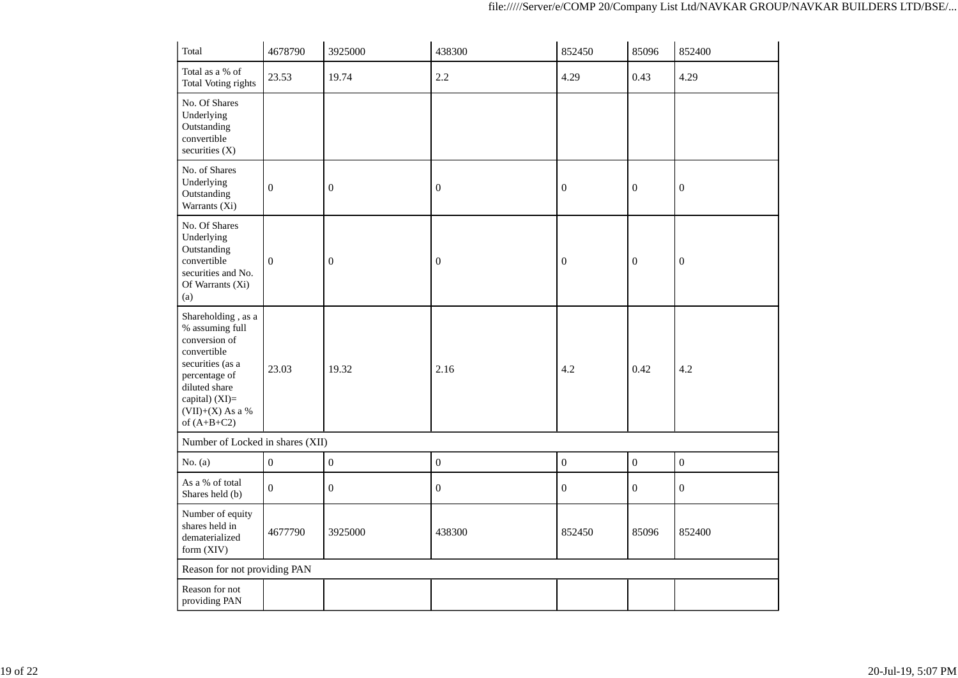| Total                                                                                                                                                                                | 4678790          | 3925000          | 438300           | 852450           | 85096            | 852400           |
|--------------------------------------------------------------------------------------------------------------------------------------------------------------------------------------|------------------|------------------|------------------|------------------|------------------|------------------|
| Total as a % of<br><b>Total Voting rights</b>                                                                                                                                        | 23.53            | 19.74            | 2.2              | 4.29             | 0.43             | 4.29             |
| No. Of Shares<br>Underlying<br>Outstanding<br>convertible<br>securities (X)                                                                                                          |                  |                  |                  |                  |                  |                  |
| No. of Shares<br>Underlying<br>Outstanding<br>Warrants (Xi)                                                                                                                          | $\boldsymbol{0}$ | $\boldsymbol{0}$ | $\boldsymbol{0}$ | $\boldsymbol{0}$ | $\boldsymbol{0}$ | $\boldsymbol{0}$ |
| No. Of Shares<br>Underlying<br>Outstanding<br>convertible<br>securities and No.<br>Of Warrants (Xi)<br>(a)                                                                           | $\boldsymbol{0}$ | $\boldsymbol{0}$ | $\boldsymbol{0}$ | $\mathbf{0}$     | $\boldsymbol{0}$ | $\boldsymbol{0}$ |
| Shareholding, as a<br>% assuming full<br>conversion of<br>convertible<br>securities (as a<br>percentage of<br>diluted share<br>capital) (XI)=<br>$(VII)+(X)$ As a %<br>of $(A+B+C2)$ | 23.03            | 19.32            | 2.16             | 4.2              | 0.42             | 4.2              |
| Number of Locked in shares (XII)                                                                                                                                                     |                  |                  |                  |                  |                  |                  |
| No. $(a)$                                                                                                                                                                            | $\boldsymbol{0}$ | $\boldsymbol{0}$ | $\boldsymbol{0}$ | $\boldsymbol{0}$ | $\boldsymbol{0}$ | $\boldsymbol{0}$ |
| As a % of total<br>Shares held (b)                                                                                                                                                   | $\mathbf{0}$     | $\boldsymbol{0}$ | $\boldsymbol{0}$ | $\overline{0}$   | $\mathbf{0}$     | $\overline{0}$   |
| Number of equity<br>shares held in<br>dematerialized<br>form (XIV)                                                                                                                   | 4677790          | 3925000          | 438300           | 852450           | 85096            | 852400           |
| Reason for not providing PAN                                                                                                                                                         |                  |                  |                  |                  |                  |                  |
| Reason for not<br>providing PAN                                                                                                                                                      |                  |                  |                  |                  |                  |                  |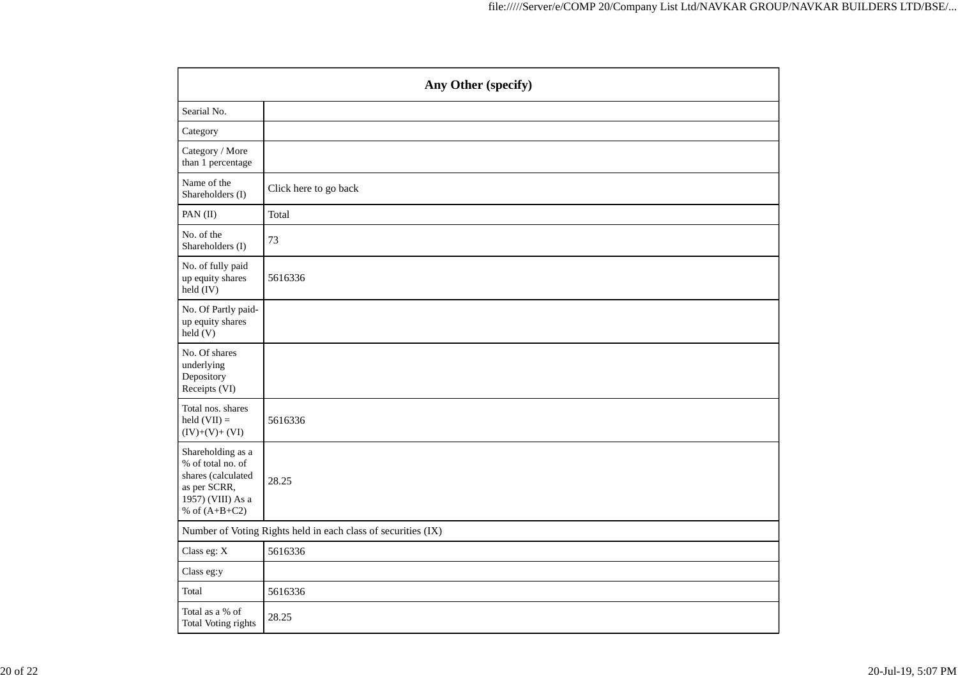|                                                                                                                      | Any Other (specify)   |  |  |  |  |  |  |  |
|----------------------------------------------------------------------------------------------------------------------|-----------------------|--|--|--|--|--|--|--|
| Searial No.                                                                                                          |                       |  |  |  |  |  |  |  |
| Category                                                                                                             |                       |  |  |  |  |  |  |  |
| Category / More<br>than 1 percentage                                                                                 |                       |  |  |  |  |  |  |  |
| Name of the<br>Shareholders (I)                                                                                      | Click here to go back |  |  |  |  |  |  |  |
| PAN (II)                                                                                                             | Total                 |  |  |  |  |  |  |  |
| No. of the<br>Shareholders (I)                                                                                       | 73                    |  |  |  |  |  |  |  |
| No. of fully paid<br>up equity shares<br>held (IV)                                                                   | 5616336               |  |  |  |  |  |  |  |
| No. Of Partly paid-<br>up equity shares<br>held(V)                                                                   |                       |  |  |  |  |  |  |  |
| No. Of shares<br>underlying<br>Depository<br>Receipts (VI)                                                           |                       |  |  |  |  |  |  |  |
| Total nos. shares<br>held $(VII)$ =<br>$(IV)+(V)+(VI)$                                                               | 5616336               |  |  |  |  |  |  |  |
| Shareholding as a<br>% of total no. of<br>shares (calculated<br>as per SCRR,<br>1957) (VIII) As a<br>% of $(A+B+C2)$ | 28.25                 |  |  |  |  |  |  |  |
| Number of Voting Rights held in each class of securities (IX)                                                        |                       |  |  |  |  |  |  |  |
| Class eg: X                                                                                                          | 5616336               |  |  |  |  |  |  |  |
| Class eg:y                                                                                                           |                       |  |  |  |  |  |  |  |
| Total                                                                                                                | 5616336               |  |  |  |  |  |  |  |
| Total as a % of<br>Total Voting rights                                                                               | 28.25                 |  |  |  |  |  |  |  |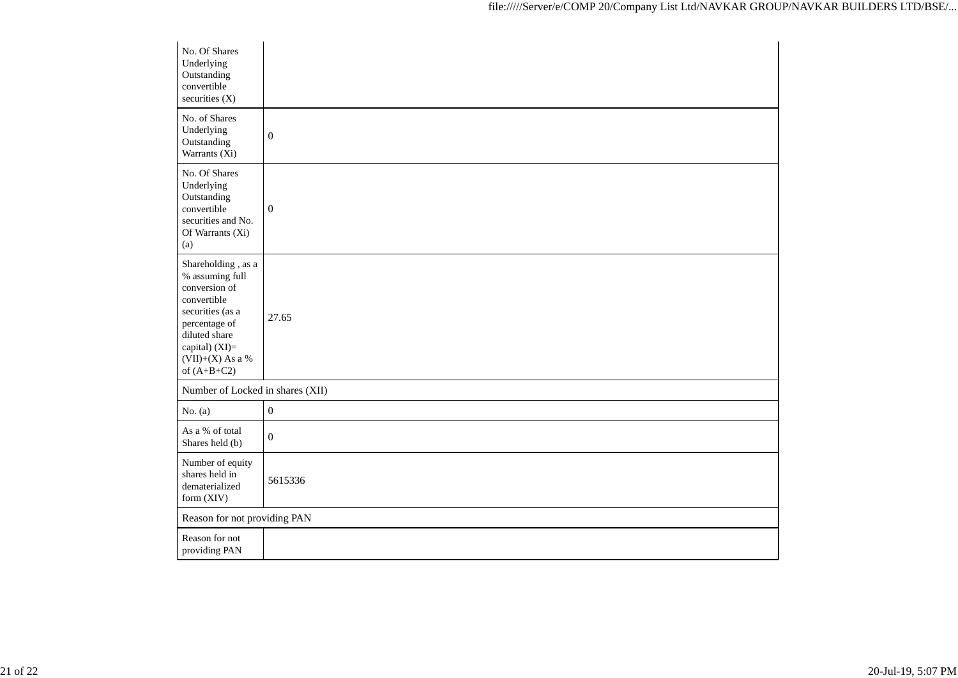| No. Of Shares<br>Underlying<br>Outstanding<br>convertible<br>securities (X)                                                                                                          |                  |
|--------------------------------------------------------------------------------------------------------------------------------------------------------------------------------------|------------------|
| No. of Shares<br>Underlying<br>Outstanding<br>Warrants (Xi)                                                                                                                          | $\boldsymbol{0}$ |
| No. Of Shares<br>Underlying<br>Outstanding<br>convertible<br>securities and No.<br>Of Warrants (Xi)<br>(a)                                                                           | $\boldsymbol{0}$ |
| Shareholding, as a<br>% assuming full<br>conversion of<br>convertible<br>securities (as a<br>percentage of<br>diluted share<br>capital) (XI)=<br>$(VII)+(X)$ As a %<br>of $(A+B+C2)$ | 27.65            |
| Number of Locked in shares (XII)                                                                                                                                                     |                  |
| No. $(a)$                                                                                                                                                                            | $\boldsymbol{0}$ |
| As a % of total<br>Shares held (b)                                                                                                                                                   | $\overline{0}$   |
| Number of equity<br>shares held in<br>dematerialized<br>form (XIV)                                                                                                                   | 5615336          |
| Reason for not providing PAN                                                                                                                                                         |                  |
| Reason for not<br>providing PAN                                                                                                                                                      |                  |